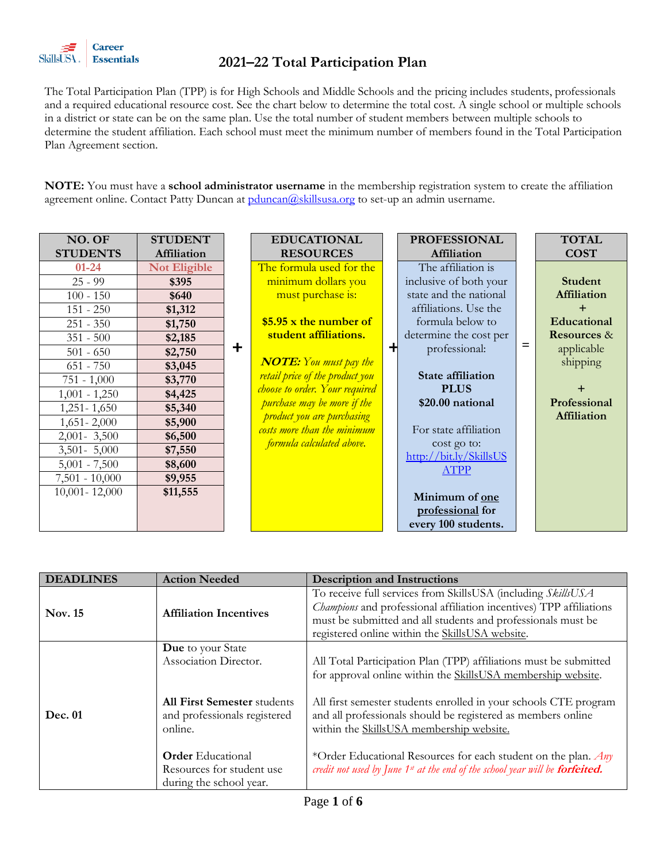

The Total Participation Plan (TPP) is for High Schools and Middle Schools and the pricing includes students, professionals and a required educational resource cost. See the chart below to determine the total cost. A single school or multiple schools in a district or state can be on the same plan. Use the total number of student members between multiple schools to determine the student affiliation. Each school must meet the minimum number of members found in the Total Participation Plan Agreement section.

**NOTE:** You must have a **school administrator username** in the membership registration system to create the affiliation agreement online. Contact Patty Duncan at **pduncan@skillsusa.org** to set-up an admin username.

| NO. OF            | <b>STUDENT</b>      |        | <b>EDUCATIONAL</b>                 | <b>PROFESSIONAL</b>      |   | <b>TOTAL</b>           |
|-------------------|---------------------|--------|------------------------------------|--------------------------|---|------------------------|
| <b>STUDENTS</b>   | Affiliation         |        | <b>RESOURCES</b>                   | Affiliation              |   | <b>COST</b>            |
| $01 - 24$         | <b>Not Eligible</b> |        | The formula used for the           | The affiliation is       |   |                        |
| $25 - 99$         | \$395               |        | minimum dollars you                | inclusive of both your   |   | <b>Student</b>         |
| $100 - 150$       | \$640               |        | must purchase is:                  | state and the national   |   | Affiliation            |
| $151 - 250$       | \$1,312             |        |                                    | affiliations. Use the    |   |                        |
| $251 - 350$       | \$1,750             |        | $$5.95 \times$ the number of       | formula below to         |   | Educational            |
| $351 - 500$       | \$2,185             |        | student affiliations.              | determine the cost per   |   | <b>Resources &amp;</b> |
| $501 - 650$       | \$2,750             | $\div$ |                                    | professional:            | = | applicable             |
| $651 - 750$       | \$3,045             |        | <b>NOTE:</b> You must pay the      |                          |   | shipping               |
| $751 - 1,000$     | \$3,770             |        | retail price of the product you    | <b>State affiliation</b> |   |                        |
| $1,001 - 1,250$   | \$4,425             |        | choose to order. Your required     | <b>PLUS</b>              |   |                        |
| $1,251 - 1,650$   | \$5,340             |        | <i>purchase may be more if the</i> | \$20.00 national         |   | Professional           |
| $1,651 - 2,000$   | \$5,900             |        | <i>product you are purchasing</i>  |                          |   | Affiliation            |
| $2,001 - 3,500$   | \$6,500             |        | costs more than the minimum        | For state affiliation    |   |                        |
| $3,501 - 5,000$   | \$7,550             |        | formula calculated above.          | cost go to:              |   |                        |
| $5,001 - 7,500$   | \$8,600             |        |                                    | http://bit.ly/SkillsUS   |   |                        |
| $7,501 - 10,000$  | \$9,955             |        |                                    | <b>ATPP</b>              |   |                        |
| $10,001 - 12,000$ | \$11,555            |        |                                    | Minimum of one           |   |                        |
|                   |                     |        |                                    | professional for         |   |                        |
|                   |                     |        |                                    | every 100 students.      |   |                        |
|                   |                     |        |                                    |                          |   |                        |

| <b>DEADLINES</b> | <b>Action Needed</b>                                                                                                        | <b>Description and Instructions</b>                                                                                                                                                                                                                                                                               |  |  |  |
|------------------|-----------------------------------------------------------------------------------------------------------------------------|-------------------------------------------------------------------------------------------------------------------------------------------------------------------------------------------------------------------------------------------------------------------------------------------------------------------|--|--|--|
| Nov. 15          | <b>Affiliation Incentives</b>                                                                                               | To receive full services from SkillsUSA (including SkillsUSA<br>Champions and professional affiliation incentives) TPP affiliations<br>must be submitted and all students and professionals must be<br>registered online within the SkillsUSA website.                                                            |  |  |  |
| Dec. 01          | Due to your State<br>Association Director.<br><b>All First Semester students</b><br>and professionals registered<br>online. | All Total Participation Plan (TPP) affiliations must be submitted<br>for approval online within the SkillsUSA membership website.<br>All first semester students enrolled in your schools CTE program<br>and all professionals should be registered as members online<br>within the SkillsUSA membership website. |  |  |  |
|                  | <b>Order</b> Educational<br>Resources for student use<br>during the school year.                                            | *Order Educational Resources for each student on the plan. Any<br>credit not used by June 1st at the end of the school year will be forfeited.                                                                                                                                                                    |  |  |  |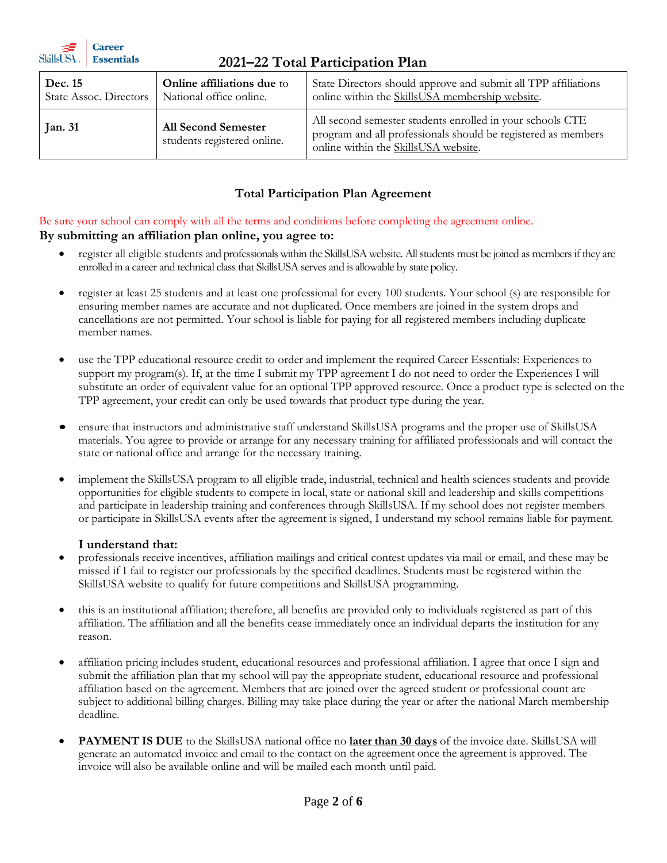| SkillsUSA .<br><b>Essentials</b><br>2021–22 Total Participation Plan |                                                              |                                                                                                                                                                    |  |  |  |
|----------------------------------------------------------------------|--------------------------------------------------------------|--------------------------------------------------------------------------------------------------------------------------------------------------------------------|--|--|--|
| Dec. 15<br><b>State Assoc. Directors</b>                             | <b>Online affiliations due to</b><br>National office online. | State Directors should approve and submit all TPP affiliations<br>online within the SkillsUSA membership website.                                                  |  |  |  |
| <b>Jan. 31</b>                                                       | <b>All Second Semester</b><br>students registered online.    | All second semester students enrolled in your schools CTE<br>program and all professionals should be registered as members<br>online within the SkillsUSA website. |  |  |  |

### **Total Participation Plan Agreement**

Be sure your school can comply with all the terms and conditions before completing the agreement online. **By submitting an affiliation plan online, you agree to:**

- register all eligible students and professionals within the SkillsUSA website. All students must be joined as members if they are enrolled in a career and technical class that SkillsUSA serves and is allowable by state policy.
- register at least 25 students and at least one professional for every 100 students. Your school (s) are responsible for ensuring member names are accurate and not duplicated. Once members are joined in the system drops and cancellations are not permitted. Your school is liable for paying for all registered members including duplicate member names.
- use the TPP educational resource credit to order and implement the required Career Essentials: Experiences to support my program(s). If, at the time I submit my TPP agreement I do not need to order the Experiences I will substitute an order of equivalent value for an optional TPP approved resource. Once a product type is selected on the TPP agreement, your credit can only be used towards that product type during the year.
- ensure that instructors and administrative staff understand SkillsUSA programs and the proper use of SkillsUSA materials. You agree to provide or arrange for any necessary training for affiliated professionals and will contact the state or national office and arrange for the necessary training.
- implement the SkillsUSA program to all eligible trade, industrial, technical and health sciences students and provide opportunities for eligible students to compete in local, state or national skill and leadership and skills competitions and participate in leadership training and conferences through SkillsUSA. If my school does not register members or participate in SkillsUSA events after the agreement is signed, I understand my school remains liable for payment.

#### **I understand that:**

- 37

**Career** 

- professionals receive incentives, affiliation mailings and critical contest updates via mail or email, and these may be missed if I fail to register our professionals by the specified deadlines. Students must be registered within the SkillsUSA website to qualify for future competitions and SkillsUSA programming.
- this is an institutional affiliation; therefore, all benefits are provided only to individuals registered as part of this affiliation. The affiliation and all the benefits cease immediately once an individual departs the institution for any reason.
- affiliation pricing includes student, educational resources and professional affiliation. I agree that once I sign and submit the affiliation plan that my school will pay the appropriate student, educational resource and professional affiliation based on the agreement. Members that are joined over the agreed student or professional count are subject to additional billing charges. Billing may take place during the year or after the national March membership deadline.
- **PAYMENT IS DUE** to the SkillsUSA national office no **later than 30 days** of the invoice date. SkillsUSA will generate an automated invoice and email to the contact on the agreement once the agreement is approved. The invoice will also be available online and will be mailed each month until paid.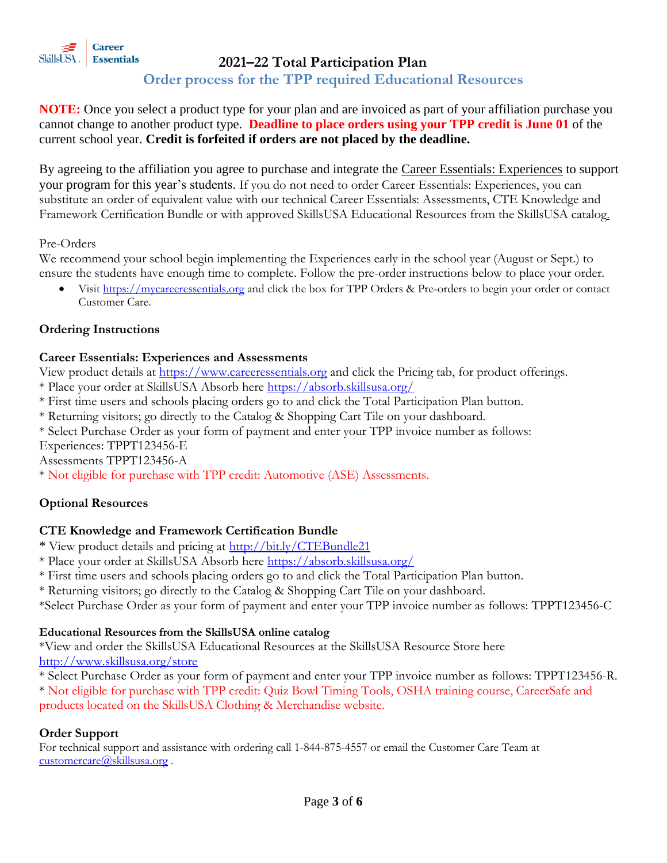

### **Order process for the TPP required Educational Resources**

**NOTE:** Once you select a product type for your plan and are invoiced as part of your affiliation purchase you cannot change to another product type. **Deadline to place orders using your TPP credit is June 01** of the current school year. **Credit is forfeited if orders are not placed by the deadline.**

By agreeing to the affiliation you agree to purchase and integrate the Career Essentials: Experiences to support your program for this year's students. If you do not need to order Career Essentials: Experiences, you can substitute an order of equivalent value with our technical Career Essentials: Assessments, CTE Knowledge and Framework Certification Bundle or with approved SkillsUSA Educational Resources from the SkillsUSA catalog.

#### Pre-Orders

We recommend your school begin implementing the Experiences early in the school year (August or Sept.) to ensure the students have enough time to complete. Follow the pre-order instructions below to place your order.

• Visit [https://mycareeressentials.org](https://mycareeressentials.org/) and click the box for TPP Orders & Pre-orders to begin your order or contact Customer Care.

### **Ordering Instructions**

#### **Career Essentials: Experiences and Assessments**

View product details at [https://www.careeressentials.org](https://www.careeressentials.org/) and click the Pricing tab, for product offerings.

- \* Place your order at SkillsUSA Absorb here<https://absorb.skillsusa.org/>
- \* First time users and schools placing orders go to and click the Total Participation Plan button.

\* Returning visitors; go directly to the Catalog & Shopping Cart Tile on your dashboard.

\* Select Purchase Order as your form of payment and enter your TPP invoice number as follows:

Experiences: TPPT123456-E

Assessments TPPT123456-A

\* Not eligible for purchase with TPP credit: Automotive (ASE) Assessments.

#### **Optional Resources**

#### **CTE Knowledge and Framework Certification Bundle**

- \* View product details and pricing at<http://bit.ly/CTEBundle21>
- \* Place your order at SkillsUSA Absorb here<https://absorb.skillsusa.org/>
- \* First time users and schools placing orders go to and click the Total Participation Plan button.
- \* Returning visitors; go directly to the Catalog & Shopping Cart Tile on your dashboard.

\*Select Purchase Order as your form of payment and enter your TPP invoice number as follows: TPPT123456-C

#### **Educational Resources from the SkillsUSA online catalog**

\*View and order the SkillsUSA Educational Resources at the SkillsUSA Resource Store here <http://www.skillsusa.org/store>

\* Select Purchase Order as your form of payment and enter your TPP invoice number as follows: TPPT123456-R. \* Not eligible for purchase with TPP credit: Quiz Bowl Timing Tools, OSHA training course, CareerSafe and products located on the SkillsUSA Clothing & Merchandise website.

#### **Order Support**

For technical support and assistance with ordering call 1-844-875-4557 or email the Customer Care Team at [customercare@skillsusa.org](mailto:customercare@skillsusa.org).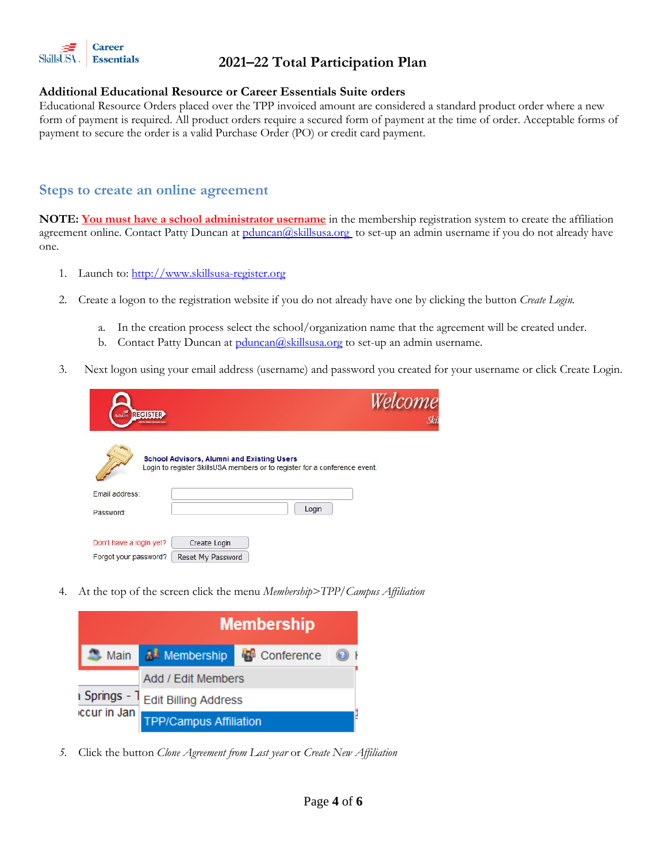

#### **Additional Educational Resource or Career Essentials Suite orders**

Educational Resource Orders placed over the TPP invoiced amount are considered a standard product order where a new form of payment is required. All product orders require a secured form of payment at the time of order. Acceptable forms of payment to secure the order is a valid Purchase Order (PO) or credit card payment.

### **Steps to create an online agreement**

**NOTE: You must have a school administrator username** in the membership registration system to create the affiliation agreement online. Contact Patty Duncan at [pduncan@skillsusa.org](mailto:pduncan@skillsusa.org) to set-up an admin username if you do not already have one.

- 1. Launch to[: http://www.skillsusa-register.org](http://www.skillsusa-register.org/)
- 2. Create a logon to the registration website if you do not already have one by clicking the button *Create Login.*
	- a. In the creation process select the school/organization name that the agreement will be created under.
	- b. Contact Patty Duncan at  $pduncan(Q)$ skillsusa.org to set-up an admin username.
- 3.Next logon using your email address (username) and password you created for your username or click Create Login.

| <b>SCIENCE REGISTER</b> |                                                                                                                                 | Welcome |
|-------------------------|---------------------------------------------------------------------------------------------------------------------------------|---------|
|                         | <b>School Advisors, Alumni and Existing Users</b><br>Login to register SkillsUSA members or to register for a conference event. |         |
| Email address:          |                                                                                                                                 |         |
| Password:               |                                                                                                                                 | Login   |
| Don't have a login yet? | Create Login                                                                                                                    |         |
| Forgot your password?   | <b>Reset My Password</b>                                                                                                        |         |

4. At the top of the screen click the menu *Membership>TPP/Campus Affiliation*



*5.* Click the button *Clone Agreement from Last year* or *Create New Affiliation*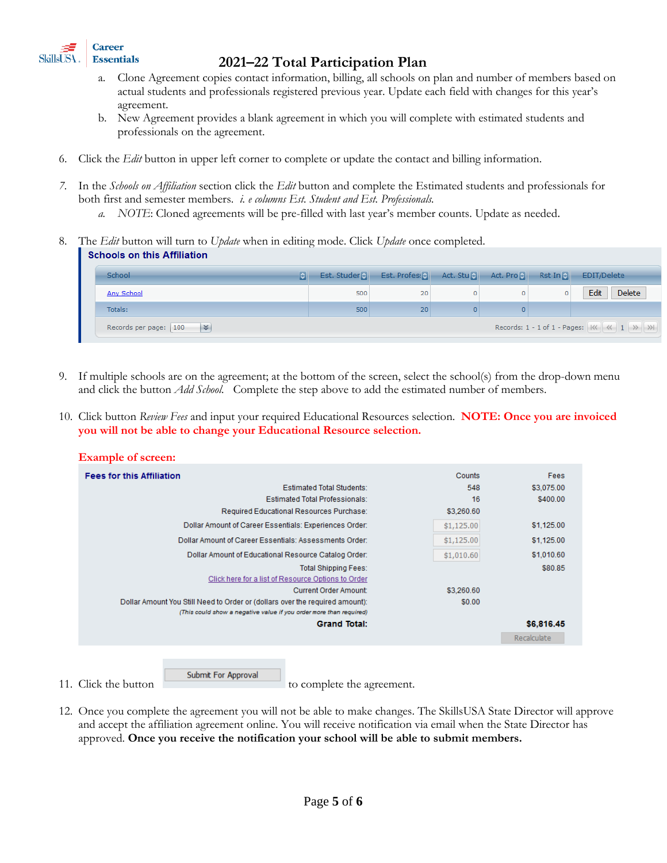

- a. Clone Agreement copies contact information, billing, all schools on plan and number of members based on actual students and professionals registered previous year. Update each field with changes for this year's agreement.
- b. New Agreement provides a blank agreement in which you will complete with estimated students and professionals on the agreement.
- 6. Click the *Edit* button in upper left corner to complete or update the contact and billing information.
- *7.* In the *Schools on Affiliation* section click the *Edit* button and complete the Estimated students and professionals for both first and semester members. *i. e columns Est. Student and Est. Professionals.* 
	- *a. NOTE*: Cloned agreements will be pre-filled with last year's member counts. Update as needed.
- 8. The *Edit* button will turn to *Update* when in editing mode. Click *Update* once completed. **Schools on this Affiliation**

| <b>School-</b><br> ≎∥                                                                                                  |     | Est. Studen   Est. Profes: 8   Act. Stu $\left  \cdot \right $ Act. Pro |   |  | Rst In <b>All</b> | EDIT/Delete           |
|------------------------------------------------------------------------------------------------------------------------|-----|-------------------------------------------------------------------------|---|--|-------------------|-----------------------|
| Any School                                                                                                             | 500 | 20                                                                      | 0 |  |                   | <b>Delete</b><br>Edit |
| Totals:                                                                                                                | 500 | 20                                                                      | 0 |  |                   |                       |
| Records: 1 - 1 of 1 - Pages: $\  \langle \langle -4 \rangle   \ \rangle \$<br>$\vert x \vert$<br>Records per page: 100 |     |                                                                         |   |  |                   |                       |

- If multiple schools are on the agreement; at the bottom of the screen, select the school(s) from the drop-down menu and click the button *Add School.* Complete the step above to add the estimated number of members.
- 10. Click button *Review Fees* and input your required Educational Resources selection. **NOTE: Once you are invoiced you will not be able to change your Educational Resource selection.**



11. Click the button submit For Approval to complete the agreement.

12. Once you complete the agreement you will not be able to make changes. The SkillsUSA State Director will approve and accept the affiliation agreement online. You will receive notification via email when the State Director has approved. **Once you receive the notification your school will be able to submit members.**